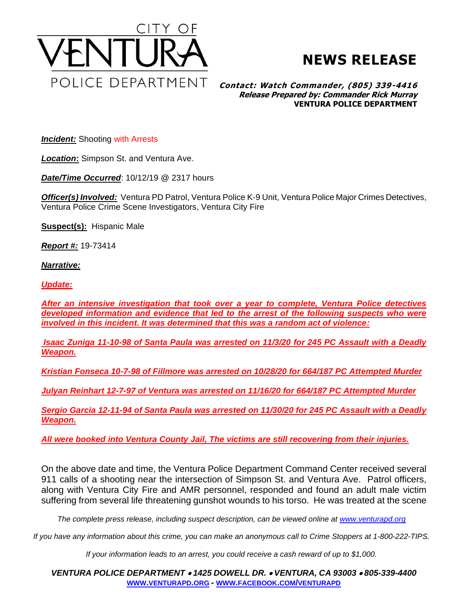



## **Contact: Watch Commander, (805) 339-4416 Release Prepared by: Commander Rick Murray VENTURA POLICE DEPARTMENT**

*Incident:* Shooting with Arrests

*Location***:** Simpson St. and Ventura Ave.

*Date/Time Occurred*: 10/12/19 @ 2317 hours

*Officer(s) Involved:* Ventura PD Patrol, Ventura Police K-9 Unit, Ventura Police Major Crimes Detectives, Ventura Police Crime Scene Investigators, Ventura City Fire

**Suspect(s):** Hispanic Male

*Report #:* 19-73414

*Narrative:* 

*Update:*

*After an intensive investigation that took over a year to complete, Ventura Police detectives developed information and evidence that led to the arrest of the following suspects who were involved in this incident. It was determined that this was a random act of violence:*

*Isaac Zuniga 11-10-98 of Santa Paula was arrested on 11/3/20 for 245 PC Assault with a Deadly Weapon.*

*Kristian Fonseca 10-7-98 of Fillmore was arrested on 10/28/20 for 664/187 PC Attempted Murder*

*Julyan Reinhart 12-7-97 of Ventura was arrested on 11/16/20 for 664/187 PC Attempted Murder*

*Sergio Garcia 12-11-94 of Santa Paula was arrested on 11/30/20 for 245 PC Assault with a Deadly Weapon.*

*All were booked into Ventura County Jail, The victims are still recovering from their injuries.*

On the above date and time, the Ventura Police Department Command Center received several 911 calls of a shooting near the intersection of Simpson St. and Ventura Ave. Patrol officers, along with Ventura City Fire and AMR personnel, responded and found an adult male victim suffering from several life threatening gunshot wounds to his torso. He was treated at the scene

*The complete press release, including suspect description, can be viewed online at [www.venturapd.org](http://www.venturapd.org/)*

*If you have any information about this crime, you can make an anonymous call to Crime Stoppers at 1-800-222-TIPS.*

*If your information leads to an arrest, you could receive a cash reward of up to \$1,000.*

*VENTURA POLICE DEPARTMENT* • *1425 DOWELL DR.* • *VENTURA, CA 93003* • *805-339-4400* **WWW.[VENTURAPD](http://www.venturapd.org/).ORG** *-* **WWW.FACEBOOK.COM/[VENTURAPD](http://www.facebook.com/venturapd)**